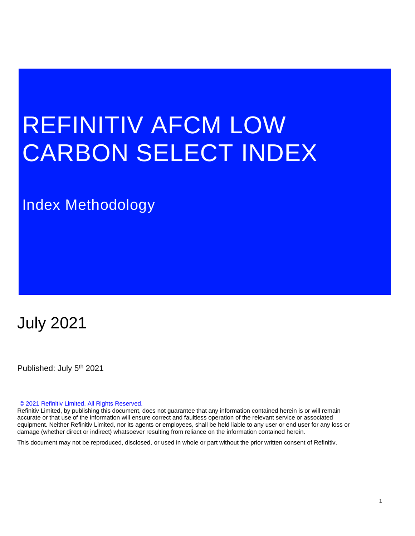# REFINITIV AFCM LOW CARBON SELECT INDEX

# Index Methodology

# July 2021

Published: July 5<sup>th</sup> 2021

#### © 2021 Refinitiv Limited. All Rights Reserved.

Refinitiv Limited, by publishing this document, does not guarantee that any information contained herein is or will remain accurate or that use of the information will ensure correct and faultless operation of the relevant service or associated equipment. Neither Refinitiv Limited, nor its agents or employees, shall be held liable to any user or end user for any loss or damage (whether direct or indirect) whatsoever resulting from reliance on the information contained herein.

This document may not be reproduced, disclosed, or used in whole or part without the prior written consent of Refinitiv.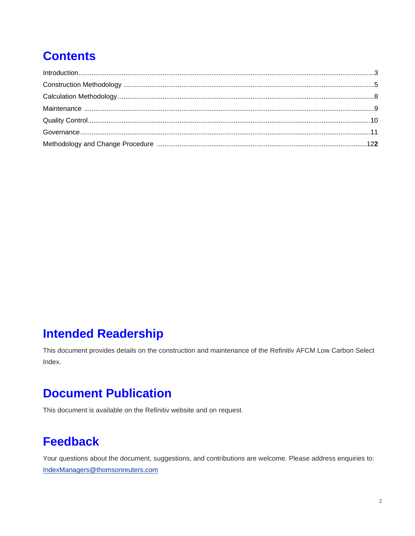# **Contents**

# **Intended Readership**

This document provides details on the construction and maintenance of the Refinitiv AFCM Low Carbon Select Index.

# **Document Publication**

This document is available on the Refinitiv website and on request.

# **Feedback**

Your questions about the document, suggestions, and contributions are welcome. Please address enquiries to: [IndexManagers@thomsonreuters.com](mailto:IndexManagers@thomsonreuters.com)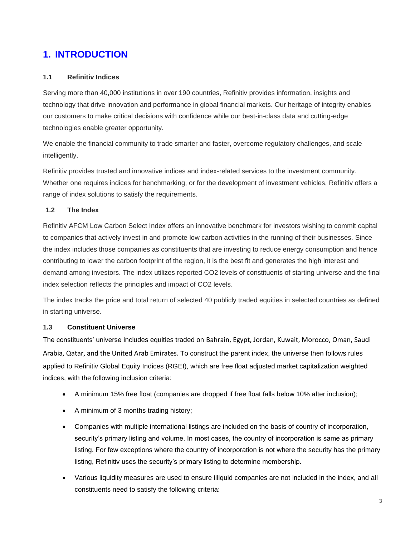### **1. INTRODUCTION**

#### <span id="page-2-0"></span>**1.1 Refinitiv Indices**

Serving more than 40,000 institutions in over 190 countries, Refinitiv provides information, insights and technology that drive innovation and performance in global financial markets. Our heritage of integrity enables our customers to make critical decisions with confidence while our best-in-class data and cutting-edge technologies enable greater opportunity.

We enable the financial community to trade smarter and faster, overcome regulatory challenges, and scale intelligently.

Refinitiv provides trusted and innovative indices and index-related services to the investment community. Whether one requires indices for benchmarking, or for the development of investment vehicles, Refinitiv offers a range of index solutions to satisfy the requirements.

#### **1.2 The Index**

Refinitiv AFCM Low Carbon Select Index offers an innovative benchmark for investors wishing to commit capital to companies that actively invest in and promote low carbon activities in the running of their businesses. Since the index includes those companies as constituents that are investing to reduce energy consumption and hence contributing to lower the carbon footprint of the region, it is the best fit and generates the high interest and demand among investors. The index utilizes reported CO2 levels of constituents of starting universe and the final index selection reflects the principles and impact of CO2 levels.

The index tracks the price and total return of selected 40 publicly traded equities in selected countries as defined in starting universe.

#### **1.3 Constituent Universe**

The constituents' universe includes equities traded on Bahrain, Egypt, Jordan, Kuwait, Morocco, Oman, Saudi Arabia, Qatar, and the United Arab Emirates. To construct the parent index, the universe then follows rules applied to Refinitiv Global Equity Indices (RGEI), which are free float adjusted market capitalization weighted indices, with the following inclusion criteria:

- A minimum 15% free float (companies are dropped if free float falls below 10% after inclusion);
- A minimum of 3 months trading history;
- Companies with multiple international listings are included on the basis of country of incorporation, security's primary listing and volume. In most cases, the country of incorporation is same as primary listing. For few exceptions where the country of incorporation is not where the security has the primary listing, Refinitiv uses the security's primary listing to determine membership.
- Various liquidity measures are used to ensure illiquid companies are not included in the index, and all constituents need to satisfy the following criteria: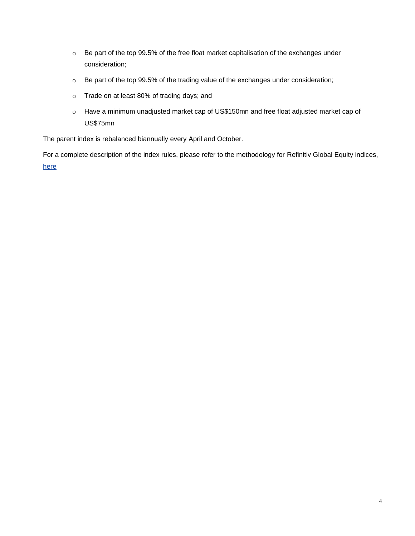- o Be part of the top 99.5% of the free float market capitalisation of the exchanges under consideration;
- o Be part of the top 99.5% of the trading value of the exchanges under consideration;
- o Trade on at least 80% of trading days; and
- o Have a minimum unadjusted market cap of US\$150mn and free float adjusted market cap of US\$75mn

The parent index is rebalanced biannually every April and October.

For a complete description of the index rules, please refer to the methodology for Refinitiv Global Equity indices, [here](https://financial.thomsonreuters.com/content/dam/openweb/documents/pdf/financial/global-equity-index-methodology.pdf)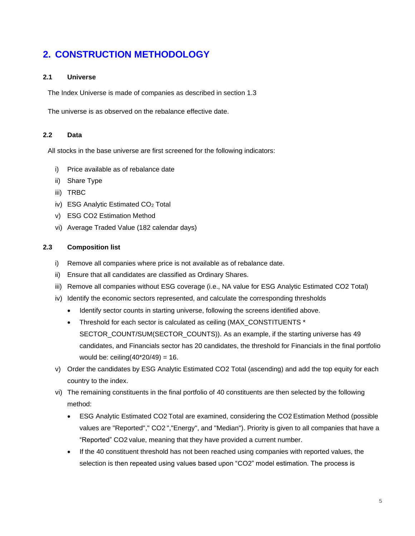## **2. CONSTRUCTION METHODOLOGY**

#### <span id="page-4-0"></span>**2.1 Universe**

The Index Universe is made of companies as described in section 1.3

The universe is as observed on the rebalance effective date.

#### **2.2 Data**

All stocks in the base universe are first screened for the following indicators:

- i) Price available as of rebalance date
- ii) Share Type
- iii) TRBC
- iv) ESG Analytic Estimated CO<sub>2</sub> Total
- v) ESG CO2 Estimation Method
- vi) Average Traded Value (182 calendar days)

#### **2.3 Composition list**

- i) Remove all companies where price is not available as of rebalance date.
- ii) Ensure that all candidates are classified as Ordinary Shares.
- iii) Remove all companies without ESG coverage (i.e., NA value for ESG Analytic Estimated CO2 Total)
- iv) Identify the economic sectors represented, and calculate the corresponding thresholds
	- Identify sector counts in starting universe, following the screens identified above.
	- Threshold for each sector is calculated as ceiling (MAX\_CONSTITUENTS \* SECTOR\_COUNT/SUM(SECTOR\_COUNTS)). As an example, if the starting universe has 49 candidates, and Financials sector has 20 candidates, the threshold for Financials in the final portfolio would be: ceiling $(40*20/49) = 16$ .
- v) Order the candidates by ESG Analytic Estimated CO2 Total (ascending) and add the top equity for each country to the index.
- vi) The remaining constituents in the final portfolio of 40 constituents are then selected by the following method:
	- ESG Analytic Estimated CO2 Total are examined, considering the CO2 Estimation Method (possible values are "Reported"," CO2 ","Energy", and "Median"). Priority is given to all companies that have a "Reported" CO2 value, meaning that they have provided a current number.
	- If the 40 constituent threshold has not been reached using companies with reported values, the selection is then repeated using values based upon "CO2" model estimation. The process is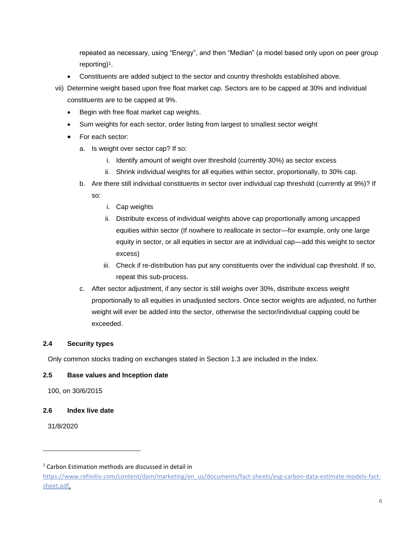repeated as necessary, using "Energy", and then "Median" (a model based only upon on peer group reporting)<sup>1</sup>.

- Constituents are added subject to the sector and country thresholds established above.
- vii) Determine weight based upon free float market cap. Sectors are to be capped at 30% and individual constituents are to be capped at 9%.
	- Begin with free float market cap weights.
	- Sum weights for each sector, order listing from largest to smallest sector weight
	- For each sector:
		- a. Is weight over sector cap? If so:
			- i. Identify amount of weight over threshold (currently 30%) as sector excess
			- ii. Shrink individual weights for all equities within sector, proportionally, to 30% cap.
		- b. Are there still individual constituents in sector over individual cap threshold (currently at 9%)? If

so:

- i. Cap weights
- ii. Distribute excess of individual weights above cap proportionally among uncapped equities within sector (If nowhere to reallocate in sector—for example, only one large equity in sector, or all equities in sector are at individual cap—add this weight to sector excess)
- iii. Check if re-distribution has put any constituents over the individual cap threshold. If so, repeat this sub-process.
- c. After sector adjustment, if any sector is still weighs over 30%, distribute excess weight proportionally to all equities in unadjusted sectors. Once sector weights are adjusted, no further weight will ever be added into the sector, otherwise the sector/individual capping could be exceeded.

#### **2.4 Security types**

Only common stocks trading on exchanges stated in Section 1.3 are included in the Index.

#### **2.5 Base values and Inception date**

100, on 30/6/2015

#### **2.6 Index live date**

31/8/2020

 $1$  Carbon Estimation methods are discussed in detail in

[https://www.refinitiv.com/content/dam/marketing/en\\_us/documents/fact-sheets/esg-carbon-data-estimate-models-fact](https://nam12.safelinks.protection.outlook.com/?url=https%3A%2F%2Fwww.refinitiv.com%2Fcontent%2Fdam%2Fmarketing%2Fen_us%2Fdocuments%2Ffact-sheets%2Fesg-carbon-data-estimate-models-fact-sheet.pdf&data=02%7C01%7Cjeff.kenyon%40refinitiv.com%7Ca68506d70928485bf06208d794617f7a%7C71ad2f6261e244fc9e8586c2827f6de9%7C0%7C0%7C637141018777578853&sdata=ky9M%2FFqkhKREueRfy4Bk2x6zVyJC%2FuhXZbuE5MRsaj8%3D&reserved=0)[sheet.pdf.](https://nam12.safelinks.protection.outlook.com/?url=https%3A%2F%2Fwww.refinitiv.com%2Fcontent%2Fdam%2Fmarketing%2Fen_us%2Fdocuments%2Ffact-sheets%2Fesg-carbon-data-estimate-models-fact-sheet.pdf&data=02%7C01%7Cjeff.kenyon%40refinitiv.com%7Ca68506d70928485bf06208d794617f7a%7C71ad2f6261e244fc9e8586c2827f6de9%7C0%7C0%7C637141018777578853&sdata=ky9M%2FFqkhKREueRfy4Bk2x6zVyJC%2FuhXZbuE5MRsaj8%3D&reserved=0)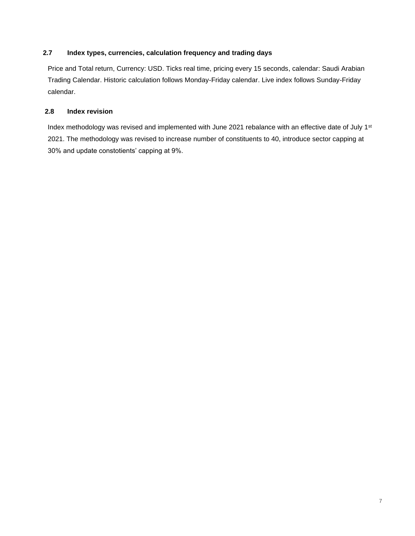#### **2.7 Index types, currencies, calculation frequency and trading days**

Price and Total return, Currency: USD. Ticks real time, pricing every 15 seconds, calendar: Saudi Arabian Trading Calendar. Historic calculation follows Monday-Friday calendar. Live index follows Sunday-Friday calendar.

#### **2.8 Index revision**

Index methodology was revised and implemented with June 2021 rebalance with an effective date of July 1<sup>st</sup> 2021. The methodology was revised to increase number of constituents to 40, introduce sector capping at 30% and update constotients' capping at 9%.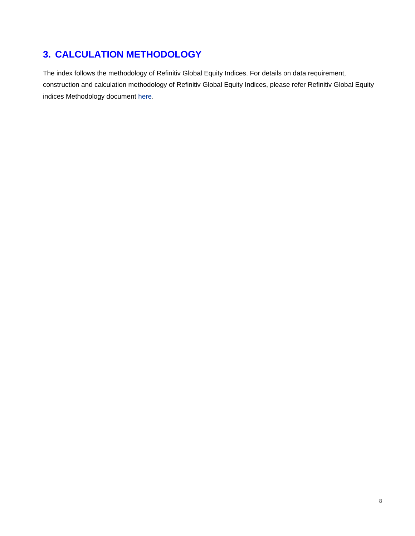# **3. CALCULATION METHODOLOGY**

The index follows the methodology of Refinitiv Global Equity Indices. For details on data requirement, construction and calculation methodology of Refinitiv Global Equity Indices, please refer Refinitiv Global Equity indices Methodology document [here.](http://thomsonreuters.com/en/products-services/financial/equities-markets/global-equity-indices.html)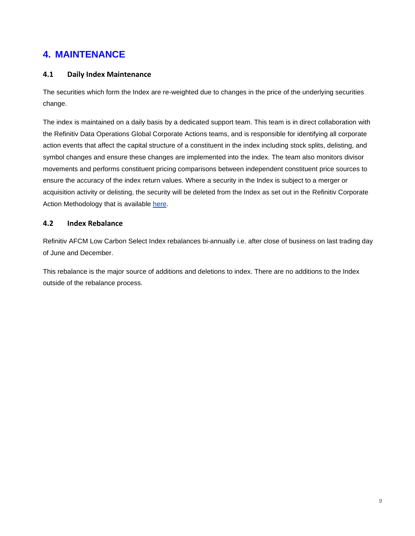### **4. MAINTENANCE**

#### **4.1 Daily Index Maintenance**

The securities which form the Index are re-weighted due to changes in the price of the underlying securities change.

The index is maintained on a daily basis by a dedicated support team. This team is in direct collaboration with the Refinitiv Data Operations Global Corporate Actions teams, and is responsible for identifying all corporate action events that affect the capital structure of a constituent in the index including stock splits, delisting, and symbol changes and ensure these changes are implemented into the index. The team also monitors divisor movements and performs constituent pricing comparisons between independent constituent price sources to ensure the accuracy of the index return values. Where a security in the Index is subject to a merger or acquisition activity or delisting, the security will be deleted from the Index as set out in the Refinitiv Corporate Action Methodology that is available [here.](https://financial.thomsonreuters.com/content/dam/openweb/documents/pdf/financial/corporate-actions-methodology.pdf)

#### **4.2 Index Rebalance**

Refinitiv AFCM Low Carbon Select Index rebalances bi-annually i.e. after close of business on last trading day of June and December.

This rebalance is the major source of additions and deletions to index. There are no additions to the Index outside of the rebalance process.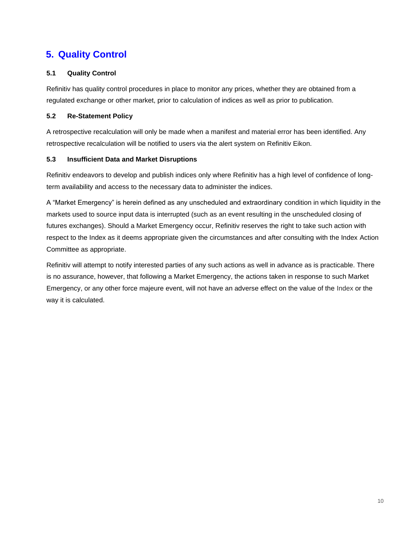### **5. Quality Control**

#### **5.1 Quality Control**

Refinitiv has quality control procedures in place to monitor any prices, whether they are obtained from a regulated exchange or other market, prior to calculation of indices as well as prior to publication.

#### **5.2 Re-Statement Policy**

A retrospective recalculation will only be made when a manifest and material error has been identified. Any retrospective recalculation will be notified to users via the alert system on Refinitiv Eikon.

#### **5.3 Insufficient Data and Market Disruptions**

Refinitiv endeavors to develop and publish indices only where Refinitiv has a high level of confidence of longterm availability and access to the necessary data to administer the indices.

A "Market Emergency" is herein defined as any unscheduled and extraordinary condition in which liquidity in the markets used to source input data is interrupted (such as an event resulting in the unscheduled closing of futures exchanges). Should a Market Emergency occur, Refinitiv reserves the right to take such action with respect to the Index as it deems appropriate given the circumstances and after consulting with the Index Action Committee as appropriate.

Refinitiv will attempt to notify interested parties of any such actions as well in advance as is practicable. There is no assurance, however, that following a Market Emergency, the actions taken in response to such Market Emergency, or any other force majeure event, will not have an adverse effect on the value of the Index or the way it is calculated.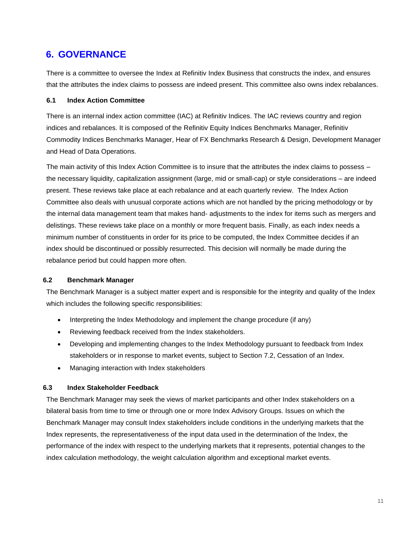### **6. GOVERNANCE**

There is a committee to oversee the Index at Refinitiv Index Business that constructs the index, and ensures that the attributes the index claims to possess are indeed present. This committee also owns index rebalances.

#### <span id="page-10-0"></span>**6.1 Index Action Committee**

There is an internal index action committee (IAC) at Refinitiv Indices. The IAC reviews country and region indices and rebalances. It is composed of the Refinitiv Equity Indices Benchmarks Manager, Refinitiv Commodity Indices Benchmarks Manager, Hear of FX Benchmarks Research & Design, Development Manager and Head of Data Operations.

The main activity of this Index Action Committee is to insure that the attributes the index claims to possess – the necessary liquidity, capitalization assignment (large, mid or small-cap) or style considerations – are indeed present. These reviews take place at each rebalance and at each quarterly review. The Index Action Committee also deals with unusual corporate actions which are not handled by the pricing methodology or by the internal data management team that makes hand- adjustments to the index for items such as mergers and delistings. These reviews take place on a monthly or more frequent basis. Finally, as each index needs a minimum number of constituents in order for its price to be computed, the Index Committee decides if an index should be discontinued or possibly resurrected. This decision will normally be made during the rebalance period but could happen more often.

#### **6.2 Benchmark Manager**

The Benchmark Manager is a subject matter expert and is responsible for the integrity and quality of the Index which includes the following specific responsibilities:

- Interpreting the Index Methodology and implement the change procedure (if any)
- Reviewing feedback received from the Index stakeholders.
- Developing and implementing changes to the Index Methodology pursuant to feedback from Index stakeholders or in response to market events, subject to Section 7.2, Cessation of an Index.
- Managing interaction with Index stakeholders

#### <span id="page-10-1"></span>**6.3 Index Stakeholder Feedback**

The Benchmark Manager may seek the views of market participants and other Index stakeholders on a bilateral basis from time to time or through one or more Index Advisory Groups. Issues on which the Benchmark Manager may consult Index stakeholders include conditions in the underlying markets that the Index represents, the representativeness of the input data used in the determination of the Index, the performance of the index with respect to the underlying markets that it represents, potential changes to the index calculation methodology, the weight calculation algorithm and exceptional market events.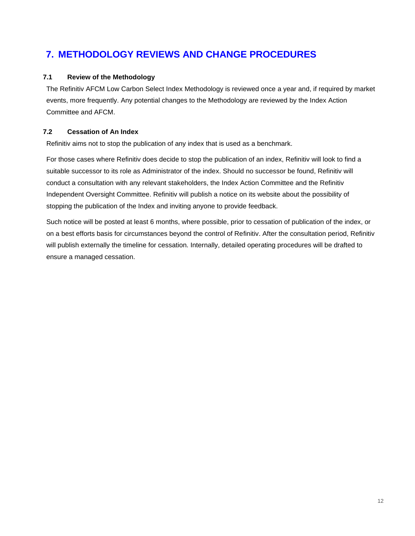## **7. METHODOLOGY REVIEWS AND CHANGE PROCEDURES**

#### <span id="page-11-0"></span>**7.1 Review of the Methodology**

The Refinitiv AFCM Low Carbon Select Index Methodology is reviewed once a year and, if required by market events, more frequently. Any potential changes to the Methodology are reviewed by the Index Action Committee and AFCM.

#### **7.2 Cessation of An Index**

Refinitiv aims not to stop the publication of any index that is used as a benchmark.

For those cases where Refinitiv does decide to stop the publication of an index, Refinitiv will look to find a suitable successor to its role as Administrator of the index. Should no successor be found, Refinitiv will conduct a consultation with any relevant stakeholders, the Index Action Committee and the Refinitiv Independent Oversight Committee. Refinitiv will publish a notice on its website about the possibility of stopping the publication of the Index and inviting anyone to provide feedback.

Such notice will be posted at least 6 months, where possible, prior to cessation of publication of the index, or on a best efforts basis for circumstances beyond the control of Refinitiv. After the consultation period, Refinitiv will publish externally the timeline for cessation. Internally, detailed operating procedures will be drafted to ensure a managed cessation.